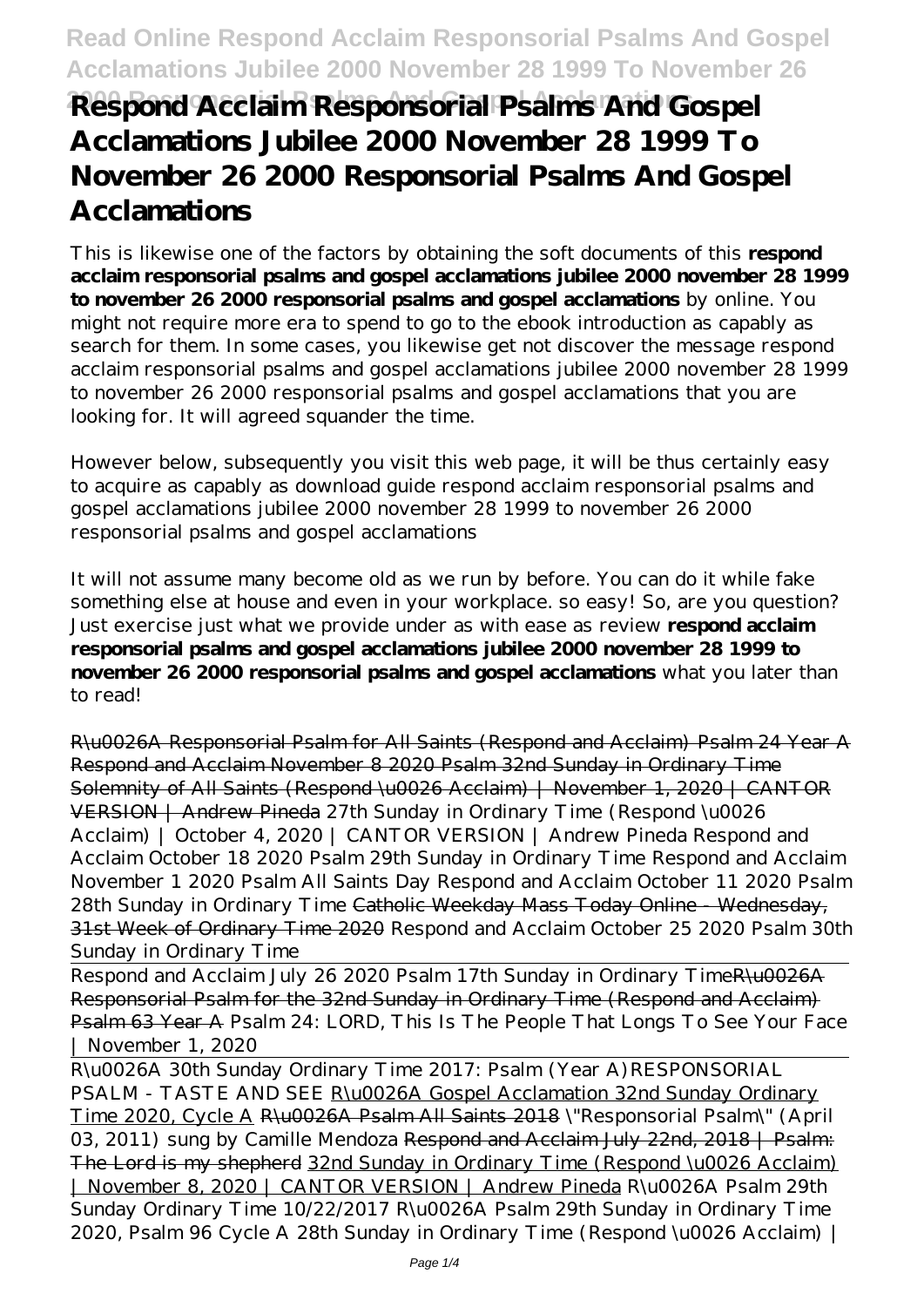# **2000 Responsorial Psalms And Gospel Acclamations Respond Acclaim Responsorial Psalms And Gospel Acclamations Jubilee 2000 November 28 1999 To November 26 2000 Responsorial Psalms And Gospel Acclamations**

This is likewise one of the factors by obtaining the soft documents of this **respond acclaim responsorial psalms and gospel acclamations jubilee 2000 november 28 1999 to november 26 2000 responsorial psalms and gospel acclamations** by online. You might not require more era to spend to go to the ebook introduction as capably as search for them. In some cases, you likewise get not discover the message respond acclaim responsorial psalms and gospel acclamations jubilee 2000 november 28 1999 to november 26 2000 responsorial psalms and gospel acclamations that you are looking for. It will agreed squander the time.

However below, subsequently you visit this web page, it will be thus certainly easy to acquire as capably as download guide respond acclaim responsorial psalms and gospel acclamations jubilee 2000 november 28 1999 to november 26 2000 responsorial psalms and gospel acclamations

It will not assume many become old as we run by before. You can do it while fake something else at house and even in your workplace. so easy! So, are you question? Just exercise just what we provide under as with ease as review **respond acclaim responsorial psalms and gospel acclamations jubilee 2000 november 28 1999 to november 26 2000 responsorial psalms and gospel acclamations** what you later than to read!

R\u0026A Responsorial Psalm for All Saints (Respond and Acclaim) Psalm 24 Year A Respond and Acclaim November 8 2020 Psalm 32nd Sunday in Ordinary Time Solemnity of All Saints (Respond \u0026 Acclaim) | November 1, 2020 | CANTOR VERSION | Andrew Pineda *27th Sunday in Ordinary Time (Respond \u0026 Acclaim) | October 4, 2020 | CANTOR VERSION | Andrew Pineda Respond and Acclaim October 18 2020 Psalm 29th Sunday in Ordinary Time* Respond and Acclaim November 1 2020 Psalm All Saints Day Respond and Acclaim October 11 2020 Psalm 28th Sunday in Ordinary Time Catholic Weekday Mass Today Online - Wednesday, 31st Week of Ordinary Time 2020 *Respond and Acclaim October 25 2020 Psalm 30th Sunday in Ordinary Time*

Respond and Acclaim July 26 2020 Psalm 17th Sunday in Ordinary TimeR\u0026A Responsorial Psalm for the 32nd Sunday in Ordinary Time (Respond and Acclaim) Psalm 63 Year A *Psalm 24: LORD, This Is The People That Longs To See Your Face | November 1, 2020*

R\u0026A 30th Sunday Ordinary Time 2017: Psalm (Year A)*RESPONSORIAL PSALM - TASTE AND SEE* R\u0026A Gospel Acclamation 32nd Sunday Ordinary Time 2020, Cycle A R\u0026A Psalm All Saints 2018 *\"Responsorial Psalm\" (April 03, 2011) sung by Camille Mendoza* Respond and Acclaim July 22nd, 2018 | Psalm: The Lord is my shepherd 32nd Sunday in Ordinary Time (Respond \u0026 Acclaim) | November 8, 2020 | CANTOR VERSION | Andrew Pineda R\u0026A Psalm 29th Sunday Ordinary Time 10/22/2017 *R\u0026A Psalm 29th Sunday in Ordinary Time 2020, Psalm 96 Cycle A 28th Sunday in Ordinary Time (Respond \u0026 Acclaim) |*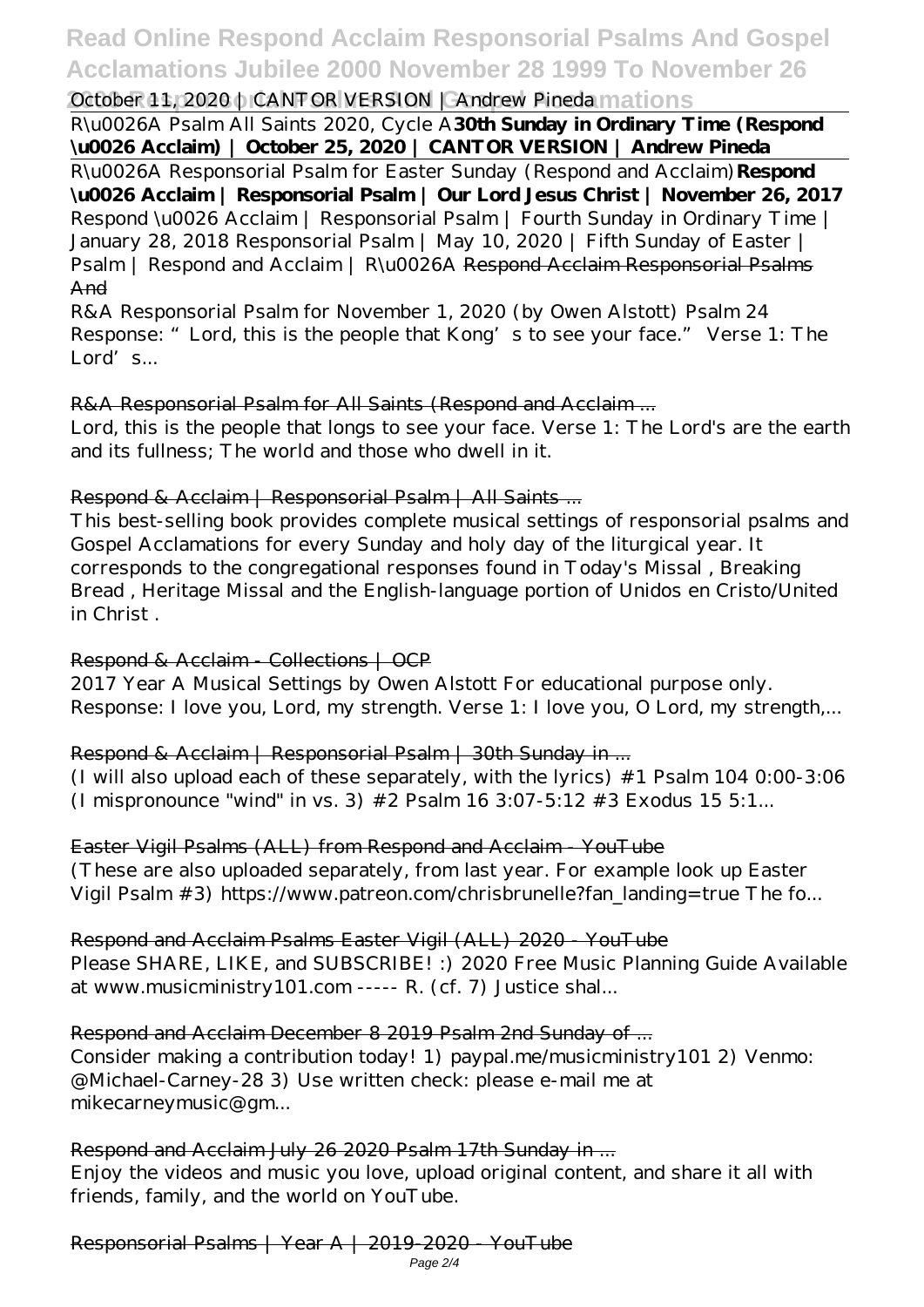# **Read Online Respond Acclaim Responsorial Psalms And Gospel Acclamations Jubilee 2000 November 28 1999 To November 26**

# **2000 Propose Acclamation Acclamations** *October 11, 2020 | CANTOR VERSION | Andrew Pineda* mations

R\u0026A Psalm All Saints 2020, Cycle A**30th Sunday in Ordinary Time (Respond \u0026 Acclaim) | October 25, 2020 | CANTOR VERSION | Andrew Pineda**

R\u0026A Responsorial Psalm for Easter Sunday (Respond and Acclaim)**Respond \u0026 Acclaim | Responsorial Psalm | Our Lord Jesus Christ | November 26, 2017** *Respond \u0026 Acclaim | Responsorial Psalm | Fourth Sunday in Ordinary Time | January 28, 2018 Responsorial Psalm | May 10, 2020 | Fifth Sunday of Easter | Psalm | Respond and Acclaim | R\u0026A* Respond Acclaim Responsorial Psalms And

R&A Responsorial Psalm for November 1, 2020 (by Owen Alstott) Psalm 24 Response: "Lord, this is the people that Kong's to see your face." Verse 1: The Lord's...

#### R&A Responsorial Psalm for All Saints (Respond and Acclaim ...

Lord, this is the people that longs to see your face. Verse 1: The Lord's are the earth and its fullness; The world and those who dwell in it.

#### Respond & Acclaim | Responsorial Psalm | All Saints ...

This best-selling book provides complete musical settings of responsorial psalms and Gospel Acclamations for every Sunday and holy day of the liturgical year. It corresponds to the congregational responses found in Today's Missal , Breaking Bread , Heritage Missal and the English-language portion of Unidos en Cristo/United in Christ .

### Respond & Acclaim - Collections | OCP

2017 Year A Musical Settings by Owen Alstott For educational purpose only. Response: I love you, Lord, my strength. Verse 1: I love you, O Lord, my strength,...

## Respond & Acclaim | Responsorial Psalm | 30th Sunday in ...

(I will also upload each of these separately, with the lyrics) #1 Psalm 104 0:00-3:06 (I mispronounce "wind" in vs. 3)  $#2$  Psalm 16 3:07-5:12  $#3$  Exodus 15 5:1...

Easter Vigil Psalms (ALL) from Respond and Acclaim - YouTube (These are also uploaded separately, from last year. For example look up Easter Vigil Psalm #3) https://www.patreon.com/chrisbrunelle?fan\_landing=true The fo...

Respond and Acclaim Psalms Easter Vigil (ALL) 2020 - YouTube Please SHARE, LIKE, and SUBSCRIBE! :) 2020 Free Music Planning Guide Available

at www.musicministry101.com ----- R. (cf. 7) Justice shal...

## Respond and Acclaim December 8 2019 Psalm 2nd Sunday of ...

Consider making a contribution today! 1) paypal.me/musicministry101 2) Venmo: @Michael-Carney-28 3) Use written check: please e-mail me at mikecarneymusic@gm...

## Respond and Acclaim July 26 2020 Psalm 17th Sunday in ...

Enjoy the videos and music you love, upload original content, and share it all with friends, family, and the world on YouTube.

Responsorial Psalms | Year A | 2019-2020 - YouTube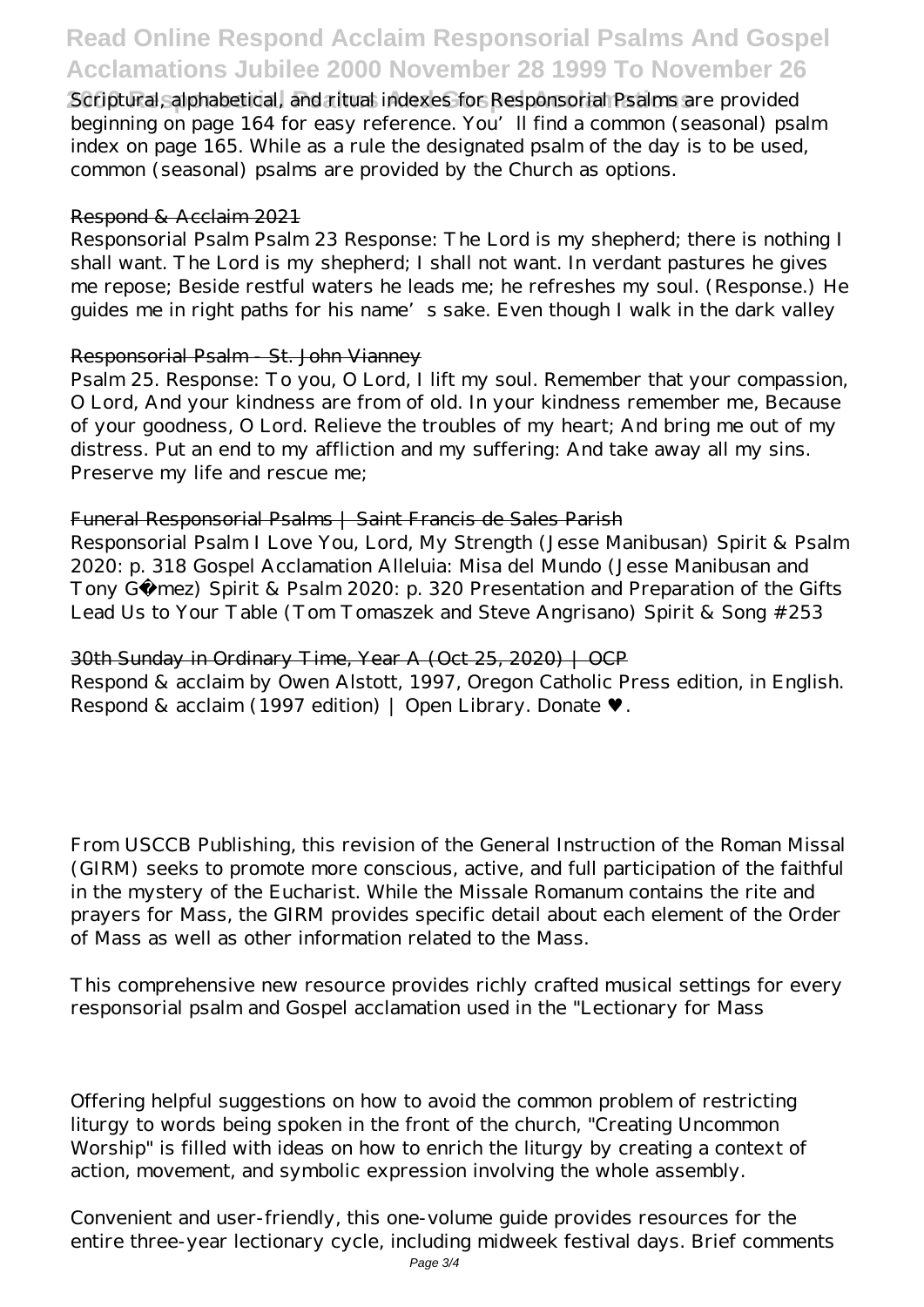# **Read Online Respond Acclaim Responsorial Psalms And Gospel Acclamations Jubilee 2000 November 28 1999 To November 26**

**2000 Responsorial Psalms And Gospel Acclamations** Scriptural, alphabetical, and ritual indexes for Responsorial Psalms are provided beginning on page 164 for easy reference. You'll find a common (seasonal) psalm index on page 165. While as a rule the designated psalm of the day is to be used, common (seasonal) psalms are provided by the Church as options.

#### Respond & Acclaim 2021

Responsorial Psalm Psalm 23 Response: The Lord is my shepherd; there is nothing I shall want. The Lord is my shepherd; I shall not want. In verdant pastures he gives me repose; Beside restful waters he leads me; he refreshes my soul. (Response.) He guides me in right paths for his name's sake. Even though I walk in the dark valley

#### Responsorial Psalm - St. John Vianney

Psalm 25. Response: To you, O Lord, I lift my soul. Remember that your compassion, O Lord, And your kindness are from of old. In your kindness remember me, Because of your goodness, O Lord. Relieve the troubles of my heart; And bring me out of my distress. Put an end to my affliction and my suffering: And take away all my sins. Preserve my life and rescue me;

#### Funeral Responsorial Psalms | Saint Francis de Sales Parish

Responsorial Psalm I Love You, Lord, My Strength (Jesse Manibusan) Spirit & Psalm 2020: p. 318 Gospel Acclamation Alleluia: Misa del Mundo (Jesse Manibusan and Tony Gómez) Spirit & Psalm 2020: p. 320 Presentation and Preparation of the Gifts Lead Us to Your Table (Tom Tomaszek and Steve Angrisano) Spirit & Song #253

#### 30th Sunday in Ordinary Time, Year A (Oct 25, 2020) | OCP

Respond & acclaim by Owen Alstott, 1997, Oregon Catholic Press edition, in English. Respond & acclaim (1997 edition) | Open Library. Donate

From USCCB Publishing, this revision of the General Instruction of the Roman Missal (GIRM) seeks to promote more conscious, active, and full participation of the faithful in the mystery of the Eucharist. While the Missale Romanum contains the rite and prayers for Mass, the GIRM provides specific detail about each element of the Order of Mass as well as other information related to the Mass.

This comprehensive new resource provides richly crafted musical settings for every responsorial psalm and Gospel acclamation used in the "Lectionary for Mass

Offering helpful suggestions on how to avoid the common problem of restricting liturgy to words being spoken in the front of the church, "Creating Uncommon Worship" is filled with ideas on how to enrich the liturgy by creating a context of action, movement, and symbolic expression involving the whole assembly.

Convenient and user-friendly, this one-volume guide provides resources for the entire three-year lectionary cycle, including midweek festival days. Brief comments